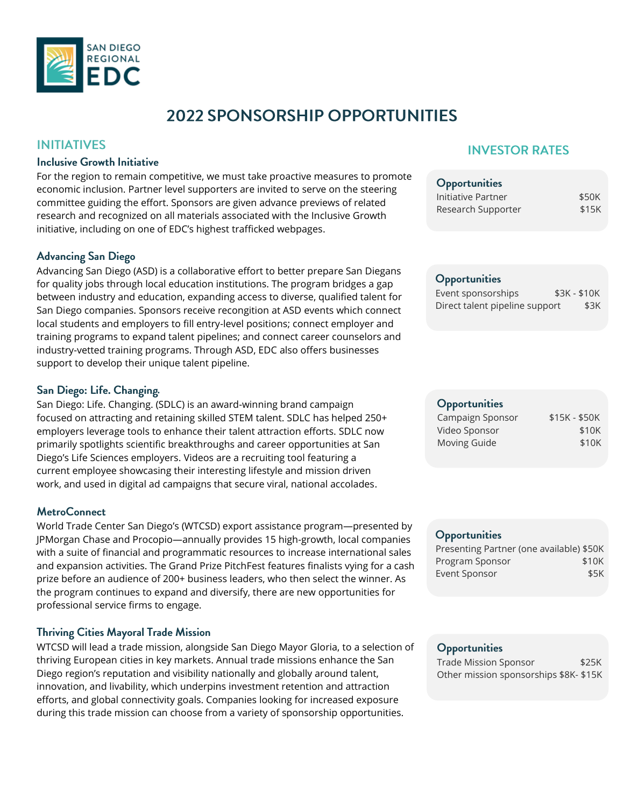

# **2022 SPONSORSHIP OPPORTUNITIES**

### **INITIATIVES**

### **Inclusive Growth Initiative**

For the region to remain competitive, we must take proactive measures to promote economic inclusion. Partner level supporters are invited to serve on the steering committee guiding the effort. Sponsors are given advance previews of related research and recognized on all materials associated with the Inclusive Growth initiative, including on one of EDC's highest trafficked webpages.

### **Advancing San Diego**

Advancing San Diego (ASD) is a collaborative effort to better prepare San Diegans for quality jobs through local education institutions. The program bridges a gap between industry and education, expanding access to diverse, qualified talent for San Diego companies. Sponsors receive recongition at ASD events which connect local students and employers to fill entry-level positions; connect employer and training programs to expand talent pipelines; and connect career counselors and industry-vetted training programs. Through ASD, EDC also offers businesses support to develop their unique talent pipeline.

### San Diego: Life. Changing.

San Diego: Life. Changing. (SDLC) is an award-winning brand campaign focused on attracting and retaining skilled STEM talent. SDLC has helped 250+ employers leverage tools to enhance their talent attraction efforts. SDLC now primarily spotlights scientific breakthroughs and career opportunities at San Diego's Life Sciences employers. Videos are a recruiting tool featuring a current employee showcasing their interesting lifestyle and mission driven work, and used in digital ad campaigns that secure viral, national accolades.

### **MetroConnect**

World Trade Center San Diego's (WTCSD) export assistance program—presented by JPMorgan Chase and Procopio—annually provides 15 high-growth, local companies with a suite of financial and programmatic resources to increase international sales and expansion activities. The Grand Prize PitchFest features finalists vying for a cash prize before an audience of 200+ business leaders, who then select the winner. As the program continues to expand and diversify, there are new opportunities for professional service firms to engage.

### **Thriving Cities Mayoral Trade Mission**

WTCSD will lead a trade mission, alongside San Diego Mayor Gloria, to a selection of thriving European cities in key markets. Annual trade missions enhance the San Diego region's reputation and visibility nationally and globally around talent, innovation, and livability, which underpins investment retention and attraction efforts, and global connectivity goals. Companies looking for increased exposure during this trade mission can choose from a variety of sponsorship opportunities.

# **INVESTOR RATES**

| <b>Opportunities</b> |       |
|----------------------|-------|
| Initiative Partner   | \$50K |
| Research Supporter   | \$15K |

### **Opportunities**

| Event sponsorships             | $$3K - $10K$ |  |
|--------------------------------|--------------|--|
| Direct talent pipeline support | \$3K         |  |

## Opportunities

| Campaign Sponsor | $$15K - $50K$ |
|------------------|---------------|
| Video Sponsor    | \$10K         |
| Moving Guide     | \$10K         |

#### **Opportunities**

| Presenting Partner (one available) \$50K |
|------------------------------------------|
| \$10K                                    |
| \$5K                                     |
|                                          |

### Opportunities

|  | Trade Mission Sponsor                  | \$25K |
|--|----------------------------------------|-------|
|  | Other mission sponsorships \$8K- \$15K |       |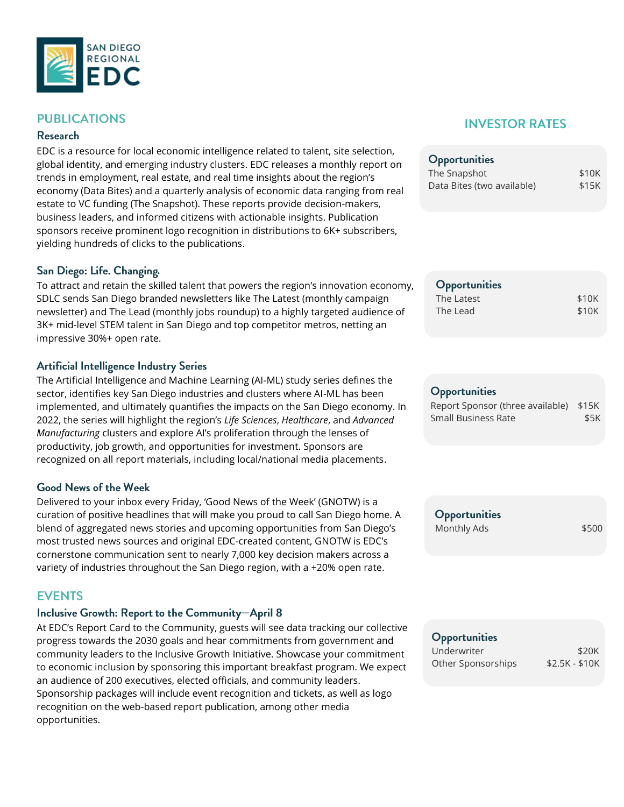

# **PUBLICATIONS**

### **Research**

EDC is a resource for local economic intelligence related to talent, site selection, global identity, and emerging industry clusters. EDC releases a monthly report on trends in employment, real estate, and real time insights about the region's economy (Data Bites) and a quarterly analysis of economic data ranging from real estate to VC funding (The Snapshot). These reports provide decision-makers, business leaders, and informed citizens with actionable insights. Publication sponsors receive prominent logo recognition in distributions to 6K+ subscribers, yielding hundreds of clicks to the publications.

### San Diego: Life. Changing.

To attract and retain the skilled talent that powers the region's innovation economy, SDLC sends San Diego branded newsletters like The Latest (monthly campaign newsletter) and The Lead (monthly jobs roundup) to a highly targeted audience of 3K+ mid-level STEM talent in San Diego and top competitor metros, netting an impressive 30%+ open rate.

### **Artificial Intelligence Industry Series**

The Artificial Intelligence and Machine Learning (AI-ML) study series defines the sector, identifies key San Diego industries and clusters where AI-ML has been implemented, and ultimately quantifies the impacts on the San Diego economy. In 2022, the series will highlight the region's *Life Sciences*, *Healthcare*, and *Advanced Manufacturing* clusters and explore AI's proliferation through the lenses of productivity, job growth, and opportunities for investment. Sponsors are recognized on all report materials, including local/national media placements.

### **Good News of the Week**

Delivered to your inbox every Friday, 'Good News of the Week' (GNOTW) is a curation of positive headlines that will make you proud to call San Diego home. A blend of aggregated news stories and upcoming opportunities from San Diego's most trusted news sources and original EDC-created content, GNOTW is EDC's cornerstone communication sent to nearly 7,000 key decision makers across a variety of industries throughout the San Diego region, with a +20% open rate.

### **EVENTS**

# Inclusive Growth: Report to the Community-April 8

At EDC's Report Card to the Community, guests will see data tracking our collective progress towards the 2030 goals and hear commitments from government and community leaders to the Inclusive Growth Initiative. Showcase your commitment to economic inclusion by sponsoring this important breakfast program. We expect an audience of 200 executives, elected officials, and community leaders. Sponsorship packages will include event recognition and tickets, as well as logo recognition on the web-based report publication, among other media opportunities.

# **INVESTOR RATES**

| Opportunities              |       |
|----------------------------|-------|
| The Snapshot               | \$10K |
| Data Bites (two available) | \$15K |

| <b>Opportunities</b> |       |
|----------------------|-------|
| The Latest           | \$10K |
| The Lead             | \$10K |

#### Opportunities

| Report Sponsor (three available) \$15K |      |
|----------------------------------------|------|
| Small Business Rate                    | \$5K |

Opportunities Monthly Ads  $$500$ 

### Opportunities

| Underwriter        | \$20K          |
|--------------------|----------------|
| Other Sponsorships | $$2.5K - $10K$ |